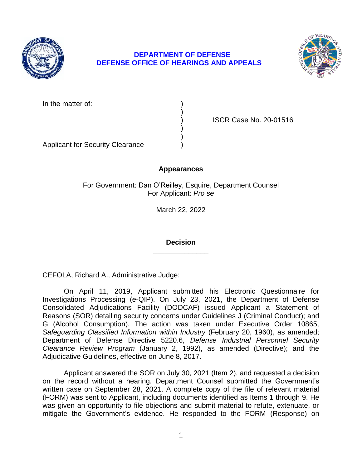

## **DEPARTMENT OF DEFENSE DEFENSE OFFICE OF HEARINGS AND APPEALS**



In the matter of:

) ISCR Case No. 20-01516

Applicant for Security Clearance )

# **Appearances**

)

) )

For Government: Dan O'Reilley, Esquire, Department Counsel For Applicant: *Pro se* 

March 22, 2022

**\_\_\_\_\_\_\_\_\_\_\_\_\_\_ Decision** 

**\_\_\_\_\_\_\_\_\_\_\_\_\_\_** 

CEFOLA, Richard A., Administrative Judge:

 On April 11, 2019, Applicant submitted his Electronic Questionnaire for Investigations Processing (e-QIP). On July 23, 2021, the Department of Defense Reasons (SOR) detailing security concerns under Guidelines J (Criminal Conduct); and G (Alcohol Consumption). The action was taken under Executive Order 10865, Safeguarding Classified Information within Industry (February 20, 1960), as amended; Department of Defense Directive 5220.6, *Defense Industrial Personnel Security Clearance Review Program* (January 2, 1992), as amended (Directive); and the Consolidated Adjudications Facility (DODCAF) issued Applicant a Statement of Adjudicative Guidelines, effective on June 8, 2017.

 Applicant answered the SOR on July 30, 2021 (Item 2), and requested a decision on the record without a hearing. Department Counsel submitted the Government's written case on September 28, 2021. A complete copy of the file of relevant material (FORM) was sent to Applicant, including documents identified as Items 1 through 9. He was given an opportunity to file objections and submit material to refute, extenuate, or mitigate the Government's evidence. He responded to the FORM (Response) on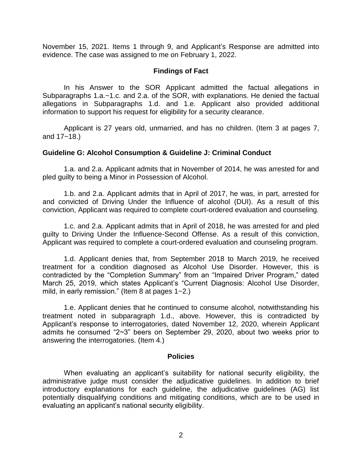November 15, 2021. Items 1 through 9, and Applicant's Response are admitted into evidence. The case was assigned to me on February 1, 2022.

### **Findings of Fact**

 In his Answer to the SOR Applicant admitted the factual allegations in information to support his request for eligibility for a security clearance. Subparagraphs 1.a.~1.c. and 2.a. of the SOR, with explanations. He denied the factual allegations in Subparagraphs 1.d. and 1.e. Applicant also provided additional

information to support his request for eligibility for a security clearance.<br>Applicant is 27 years old, unmarried, and has no children. (Item 3 at pages 7, and 17~18.)

#### **Guideline G: Alcohol Consumption & Guideline J: Criminal Conduct**

 1.a. and 2.a. Applicant admits that in November of 2014, he was arrested for and pled guilty to being a Minor in Possession of Alcohol.

 1.b. and 2.a. Applicant admits that in April of 2017, he was, in part, arrested for and convicted of Driving Under the Influence of alcohol (DUI). As a result of this conviction, Applicant was required to complete court-ordered evaluation and counseling.

 1.c. and 2.a. Applicant admits that in April of 2018, he was arrested for and pled guilty to Driving Under the Influence-Second Offense. As a result of this conviction, Applicant was required to complete a court-ordered evaluation and counseling program.

 1.d. Applicant denies that, from September 2018 to March 2019, he received treatment for a condition diagnosed as Alcohol Use Disorder. However, this is contradicted by the "Completion Summary" from an "Impaired Driver Program," dated March 25, 2019, which states Applicant's "Current Diagnosis: Alcohol Use Disorder, mild, in early remission." (Item 8 at pages 1~2.)

 1.e. Applicant denies that he continued to consume alcohol, notwithstanding his treatment noted in subparagraph 1.d., above. However, this is contradicted by Applicant's response to interrogatories, dated November 12, 2020, wherein Applicant admits he consumed "2~3" beers on September 29, 2020, about two weeks prior to answering the interrogatories. (Item 4.)

#### **Policies**

 When evaluating an applicant's suitability for national security eligibility, the administrative judge must consider the adjudicative guidelines. In addition to brief potentially disqualifying conditions and mitigating conditions, which are to be used in introductory explanations for each guideline, the adjudicative guidelines (AG) list evaluating an applicant's national security eligibility.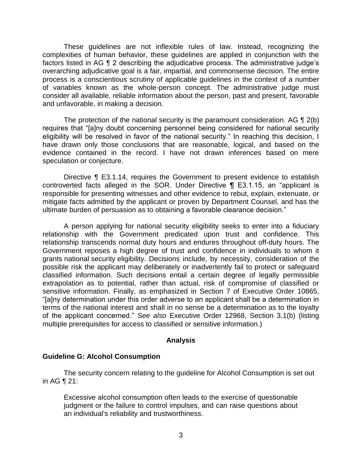These guidelines are not inflexible rules of law. Instead, recognizing the complexities of human behavior, these guidelines are applied in conjunction with the factors listed in AG ¶ 2 describing the adjudicative process. The administrative judge's overarching adjudicative goal is a fair, impartial, and commonsense decision. The entire process is a conscientious scrutiny of applicable guidelines in the context of a number of variables known as the whole-person concept. The administrative judge must consider all available, reliable information about the person, past and present, favorable and unfavorable, in making a decision.

The protection of the national security is the paramount consideration. AG  $\P$  2(b) eligibility will be resolved in favor of the national security." In reaching this decision, I have drawn only those conclusions that are reasonable, logical, and based on the evidence contained in the record. I have not drawn inferences based on mere requires that "[a]ny doubt concerning personnel being considered for national security speculation or conjecture.

 Directive ¶ E3.1.14, requires the Government to present evidence to establish controverted facts alleged in the SOR. Under Directive ¶ E3.1.15, an "applicant is responsible for presenting witnesses and other evidence to rebut, explain, extenuate, or mitigate facts admitted by the applicant or proven by Department Counsel, and has the ultimate burden of persuasion as to obtaining a favorable clearance decision."

 A person applying for national security eligibility seeks to enter into a fiduciary relationship with the Government predicated upon trust and confidence. This relationship transcends normal duty hours and endures throughout off-duty hours. The Government reposes a high degree of trust and confidence in individuals to whom it grants national security eligibility. Decisions include, by necessity, consideration of the possible risk the applicant may deliberately or inadvertently fail to protect or safeguard classified information. Such decisions entail a certain degree of legally permissible extrapolation as to potential, rather than actual, risk of compromise of classified or sensitive information. Finally, as emphasized in Section 7 of Executive Order 10865, "[a]ny determination under this order adverse to an applicant shall be a determination in terms of the national interest and shall in no sense be a determination as to the loyalty of the applicant concerned." *See also* Executive Order 12968, Section 3.1(b) (listing multiple prerequisites for access to classified or sensitive information.)

### **Analysis**

### **Guideline G: Alcohol Consumption**

The security concern relating to the guideline for Alcohol Consumption is set out in AG ¶ 21:

Excessive alcohol consumption often leads to the exercise of questionable judgment or the failure to control impulses, and can raise questions about an individual's reliability and trustworthiness.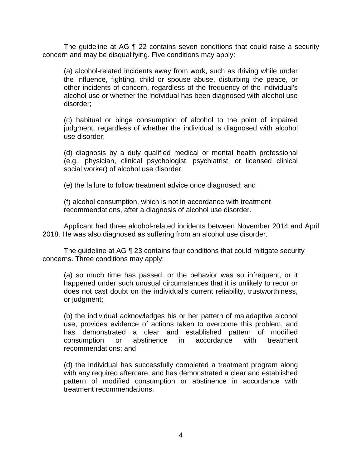The guideline at AG ¶ 22 contains seven conditions that could raise a security concern and may be disqualifying. Five conditions may apply:

(a) alcohol-related incidents away from work, such as driving while under the influence, fighting, child or spouse abuse, disturbing the peace, or other incidents of concern, regardless of the frequency of the individual's alcohol use or whether the individual has been diagnosed with alcohol use disorder;

(c) habitual or binge consumption of alcohol to the point of impaired judgment, regardless of whether the individual is diagnosed with alcohol use disorder;

(d) diagnosis by a duly qualified medical or mental health professional (e.g., physician, clinical psychologist, psychiatrist, or licensed clinical social worker) of alcohol use disorder;

(e) the failure to follow treatment advice once diagnosed; and

(f) alcohol consumption, which is not in accordance with treatment recommendations, after a diagnosis of alcohol use disorder.

 Applicant had three alcohol-related incidents between November 2014 and April 2018. He was also diagnosed as suffering from an alcohol use disorder.

The guideline at AG ¶ 23 contains four conditions that could mitigate security concerns. Three conditions may apply:

(a) so much time has passed, or the behavior was so infrequent, or it happened under such unusual circumstances that it is unlikely to recur or does not cast doubt on the individual's current reliability, trustworthiness, or judgment;

(b) the individual acknowledges his or her pattern of maladaptive alcohol use, provides evidence of actions taken to overcome this problem, and has demonstrated a clear and established pattern of modified consumption or abstinence in accordance with treatment recommendations; and

 (d) the individual has successfully completed a treatment program along with any required aftercare, and has demonstrated a clear and established pattern of modified consumption or abstinence in accordance with treatment recommendations.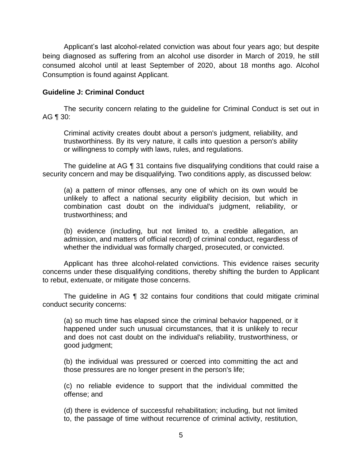Applicant's last alcohol-related conviction was about four years ago; but despite being diagnosed as suffering from an alcohol use disorder in March of 2019, he still consumed alcohol until at least September of 2020, about 18 months ago. Alcohol Consumption is found against Applicant.

### **Guideline J: Criminal Conduct**

 The security concern relating to the guideline for Criminal Conduct is set out in AG ¶ 30:

Criminal activity creates doubt about a person's judgment, reliability, and trustworthiness. By its very nature, it calls into question a person's ability or willingness to comply with laws, rules, and regulations.

 The guideline at AG ¶ 31 contains five disqualifying conditions that could raise a security concern and may be disqualifying. Two conditions apply, as discussed below:

(a) a pattern of minor offenses, any one of which on its own would be unlikely to affect a national security eligibility decision, but which in combination cast doubt on the individual's judgment, reliability, or trustworthiness; and

(b) evidence (including, but not limited to, a credible allegation, an admission, and matters of official record) of criminal conduct, regardless of whether the individual was formally charged, prosecuted, or convicted.

 concerns under these disqualifying conditions, thereby shifting the burden to Applicant Applicant has three alcohol-related convictions. This evidence raises security to rebut, extenuate, or mitigate those concerns.

 The guideline in AG ¶ 32 contains four conditions that could mitigate criminal conduct security concerns:

(a) so much time has elapsed since the criminal behavior happened, or it happened under such unusual circumstances, that it is unlikely to recur and does not cast doubt on the individual's reliability, trustworthiness, or good judgment;

(b) the individual was pressured or coerced into committing the act and those pressures are no longer present in the person's life;

(c) no reliable evidence to support that the individual committed the offense; and

(d) there is evidence of successful rehabilitation; including, but not limited to, the passage of time without recurrence of criminal activity, restitution,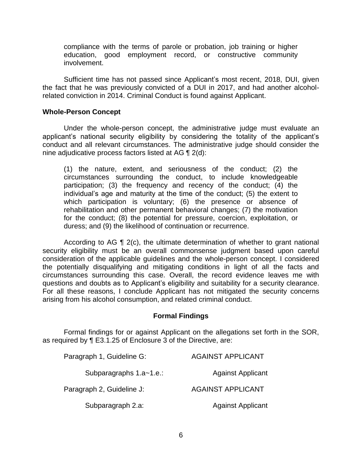compliance with the terms of parole or probation, job training or higher education, good employment record, or constructive community involvement.

 Sufficient time has not passed since Applicant's most recent, 2018, DUI, given the fact that he was previously convicted of a DUI in 2017, and had another alcoholrelated conviction in 2014. Criminal Conduct is found against Applicant.

#### **Whole-Person Concept**

Under the whole-person concept, the administrative judge must evaluate an applicant's national security eligibility by considering the totality of the applicant's conduct and all relevant circumstances. The administrative judge should consider the nine adjudicative process factors listed at AG ¶ 2(d):

(1) the nature, extent, and seriousness of the conduct; (2) the circumstances surrounding the conduct, to include knowledgeable participation; (3) the frequency and recency of the conduct; (4) the individual's age and maturity at the time of the conduct; (5) the extent to which participation is voluntary; (6) the presence or absence of rehabilitation and other permanent behavioral changes; (7) the motivation for the conduct; (8) the potential for pressure, coercion, exploitation, or duress; and (9) the likelihood of continuation or recurrence.

 According to AG ¶ 2(c), the ultimate determination of whether to grant national security eligibility must be an overall commonsense judgment based upon careful consideration of the applicable guidelines and the whole-person concept. I considered the potentially disqualifying and mitigating conditions in light of all the facts and circumstances surrounding this case. Overall, the record evidence leaves me with questions and doubts as to Applicant's eligibility and suitability for a security clearance. For all these reasons, I conclude Applicant has not mitigated the security concerns arising from his alcohol consumption, and related criminal conduct.

#### **Formal Findings**

 Formal findings for or against Applicant on the allegations set forth in the SOR, as required by ¶ E3.1.25 of Enclosure 3 of the Directive, are:

| Paragraph 1, Guideline G: | <b>AGAINST APPLICANT</b> |
|---------------------------|--------------------------|
| Subparagraphs 1.a~1.e.:   | <b>Against Applicant</b> |
| Paragraph 2, Guideline J: | <b>AGAINST APPLICANT</b> |
| Subparagraph 2.a:         | <b>Against Applicant</b> |